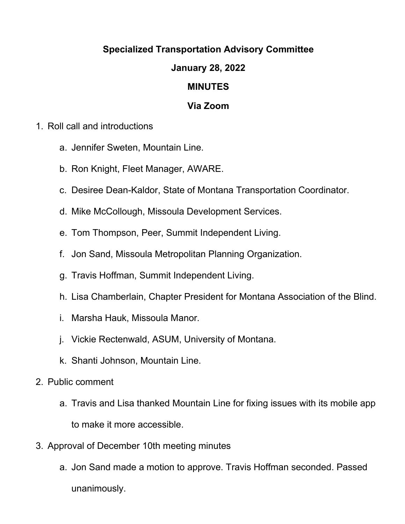## **Specialized Transportation Advisory Committee**

## **January 28, 2022**

## **MINUTES**

## **Via Zoom**

- 1. Roll call and introductions
	- a. Jennifer Sweten, Mountain Line.
	- b. Ron Knight, Fleet Manager, AWARE.
	- c. Desiree Dean-Kaldor, State of Montana Transportation Coordinator.
	- d. Mike McCollough, Missoula Development Services.
	- e. Tom Thompson, Peer, Summit Independent Living.
	- f. Jon Sand, Missoula Metropolitan Planning Organization.
	- g. Travis Hoffman, Summit Independent Living.
	- h. Lisa Chamberlain, Chapter President for Montana Association of the Blind.
	- i. Marsha Hauk, Missoula Manor.
	- j. Vickie Rectenwald, ASUM, University of Montana.
	- k. Shanti Johnson, Mountain Line.
- 2. Public comment
	- a. Travis and Lisa thanked Mountain Line for fixing issues with its mobile app to make it more accessible.
- 3. Approval of December 10th meeting minutes
	- a. Jon Sand made a motion to approve. Travis Hoffman seconded. Passed unanimously.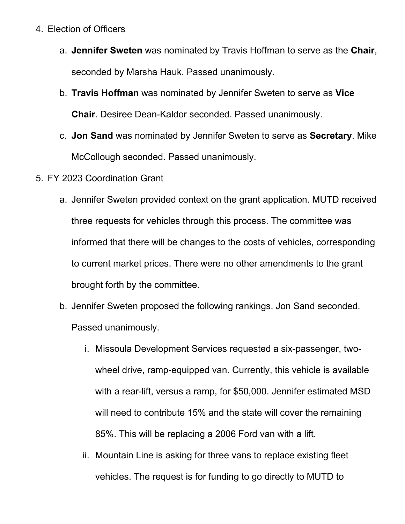- 4. Election of Officers
	- a. **Jennifer Sweten** was nominated by Travis Hoffman to serve as the **Chair**, seconded by Marsha Hauk. Passed unanimously.
	- b. **Travis Hoffman** was nominated by Jennifer Sweten to serve as **Vice Chair**. Desiree Dean-Kaldor seconded. Passed unanimously.
	- c. **Jon Sand** was nominated by Jennifer Sweten to serve as **Secretary**. Mike McCollough seconded. Passed unanimously.
- 5. FY 2023 Coordination Grant
	- a. Jennifer Sweten provided context on the grant application. MUTD received three requests for vehicles through this process. The committee was informed that there will be changes to the costs of vehicles, corresponding to current market prices. There were no other amendments to the grant brought forth by the committee.
	- b. Jennifer Sweten proposed the following rankings. Jon Sand seconded. Passed unanimously.
		- i. Missoula Development Services requested a six-passenger, twowheel drive, ramp-equipped van. Currently, this vehicle is available with a rear-lift, versus a ramp, for \$50,000. Jennifer estimated MSD will need to contribute 15% and the state will cover the remaining 85%. This will be replacing a 2006 Ford van with a lift.
		- ii. Mountain Line is asking for three vans to replace existing fleet vehicles. The request is for funding to go directly to MUTD to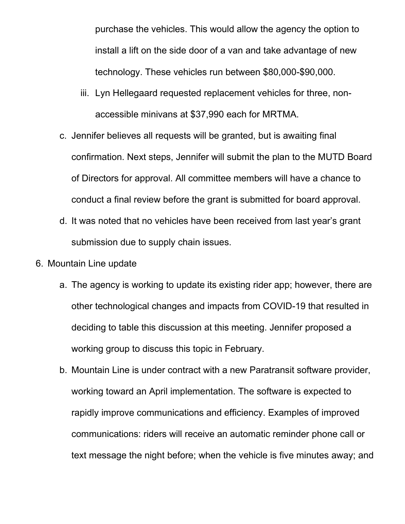purchase the vehicles. This would allow the agency the option to install a lift on the side door of a van and take advantage of new technology. These vehicles run between \$80,000-\$90,000.

- iii. Lyn Hellegaard requested replacement vehicles for three, nonaccessible minivans at \$37,990 each for MRTMA.
- c. Jennifer believes all requests will be granted, but is awaiting final confirmation. Next steps, Jennifer will submit the plan to the MUTD Board of Directors for approval. All committee members will have a chance to conduct a final review before the grant is submitted for board approval.
- d. It was noted that no vehicles have been received from last year's grant submission due to supply chain issues.
- 6. Mountain Line update
	- a. The agency is working to update its existing rider app; however, there are other technological changes and impacts from COVID-19 that resulted in deciding to table this discussion at this meeting. Jennifer proposed a working group to discuss this topic in February.
	- b. Mountain Line is under contract with a new Paratransit software provider, working toward an April implementation. The software is expected to rapidly improve communications and efficiency. Examples of improved communications: riders will receive an automatic reminder phone call or text message the night before; when the vehicle is five minutes away; and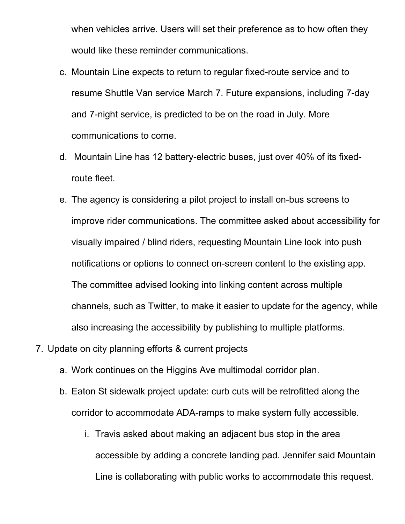when vehicles arrive. Users will set their preference as to how often they would like these reminder communications.

- c. Mountain Line expects to return to regular fixed-route service and to resume Shuttle Van service March 7. Future expansions, including 7-day and 7-night service, is predicted to be on the road in July. More communications to come.
- d. Mountain Line has 12 battery-electric buses, just over 40% of its fixedroute fleet.
- e. The agency is considering a pilot project to install on-bus screens to improve rider communications. The committee asked about accessibility for visually impaired / blind riders, requesting Mountain Line look into push notifications or options to connect on-screen content to the existing app. The committee advised looking into linking content across multiple channels, such as Twitter, to make it easier to update for the agency, while also increasing the accessibility by publishing to multiple platforms.
- 7. Update on city planning efforts & current projects
	- a. Work continues on the Higgins Ave multimodal corridor plan.
	- b. Eaton St sidewalk project update: curb cuts will be retrofitted along the corridor to accommodate ADA-ramps to make system fully accessible.
		- i. Travis asked about making an adjacent bus stop in the area accessible by adding a concrete landing pad. Jennifer said Mountain Line is collaborating with public works to accommodate this request.